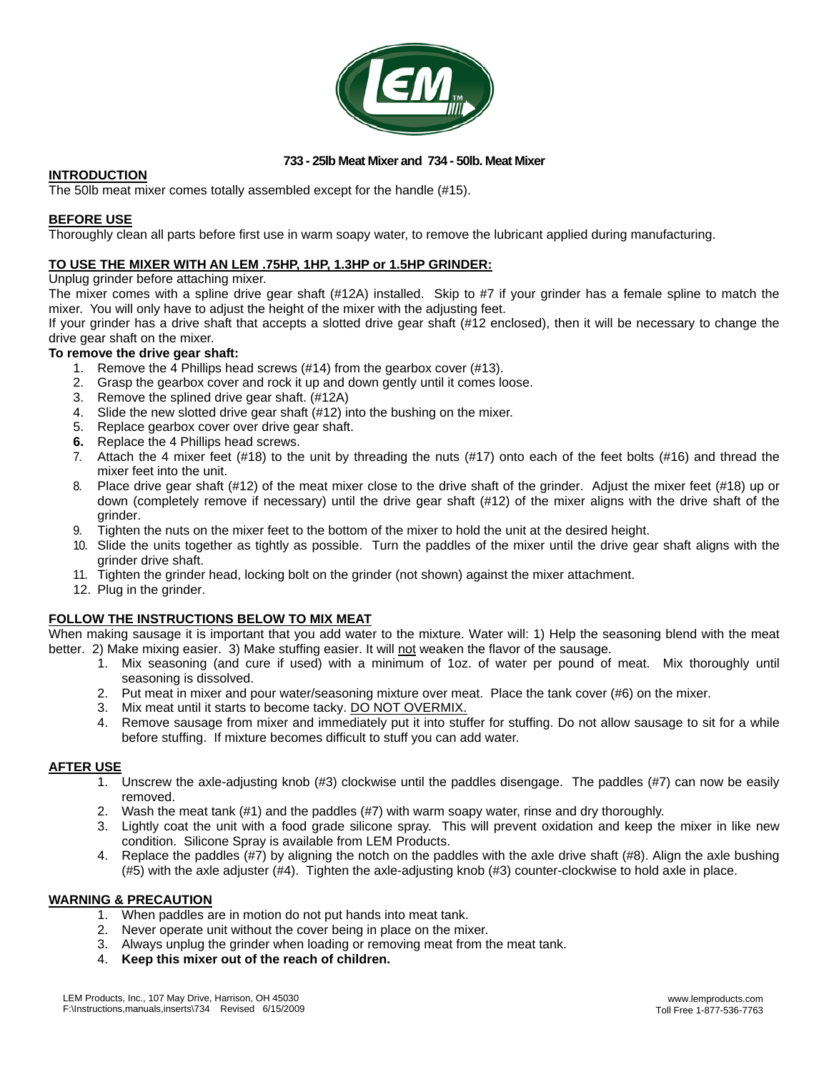

## **733 - 25lb Meat Mixer and 734 - 50lb. Meat Mixer**

### **INTRODUCTION**

The 50lb meat mixer comes totally assembled except for the handle (#15).

### **BEFORE USE**

Thoroughly clean all parts before first use in warm soapy water, to remove the lubricant applied during manufacturing.

## **TO USE THE MIXER WITH AN LEM .75HP, 1HP, 1.3HP or 1.5HP GRINDER:**

#### Unplug grinder before attaching mixer.

The mixer comes with a spline drive gear shaft (#12A) installed. Skip to #7 if your grinder has a female spline to match the mixer. You will only have to adjust the height of the mixer with the adjusting feet.

If your grinder has a drive shaft that accepts a slotted drive gear shaft (#12 enclosed), then it will be necessary to change the drive gear shaft on the mixer.

#### **To remove the drive gear shaft:**

- 1. Remove the 4 Phillips head screws (#14) from the gearbox cover (#13).
- 2. Grasp the gearbox cover and rock it up and down gently until it comes loose.
- 3. Remove the splined drive gear shaft. (#12A)
- 4. Slide the new slotted drive gear shaft (#12) into the bushing on the mixer.
- 5. Replace gearbox cover over drive gear shaft.
- **6.** Replace the 4 Phillips head screws.
- 7. Attach the 4 mixer feet (#18) to the unit by threading the nuts (#17) onto each of the feet bolts (#16) and thread the mixer feet into the unit.
- 8. Place drive gear shaft (#12) of the meat mixer close to the drive shaft of the grinder. Adjust the mixer feet (#18) up or down (completely remove if necessary) until the drive gear shaft (#12) of the mixer aligns with the drive shaft of the grinder.
- 9. Tighten the nuts on the mixer feet to the bottom of the mixer to hold the unit at the desired height.
- 10. Slide the units together as tightly as possible. Turn the paddles of the mixer until the drive gear shaft aligns with the grinder drive shaft.
- 11. Tighten the grinder head, locking bolt on the grinder (not shown) against the mixer attachment.
- 12. Plug in the grinder.

## **FOLLOW THE INSTRUCTIONS BELOW TO MIX MEAT**

When making sausage it is important that you add water to the mixture. Water will: 1) Help the seasoning blend with the meat better. 2) Make mixing easier. 3) Make stuffing easier. It will not weaken the flavor of the sausage.

- 1. Mix seasoning (and cure if used) with a minimum of 1oz. of water per pound of meat. Mix thoroughly until seasoning is dissolved.
- 2. Put meat in mixer and pour water/seasoning mixture over meat. Place the tank cover (#6) on the mixer.
- 3. Mix meat until it starts to become tacky. DO NOT OVERMIX.
- 4. Remove sausage from mixer and immediately put it into stuffer for stuffing. Do not allow sausage to sit for a while before stuffing. If mixture becomes difficult to stuff you can add water.

## **AFTER USE**

- 1. Unscrew the axle-adjusting knob (#3) clockwise until the paddles disengage. The paddles (#7) can now be easily removed.
- 2. Wash the meat tank (#1) and the paddles (#7) with warm soapy water, rinse and dry thoroughly.
- 3. Lightly coat the unit with a food grade silicone spray. This will prevent oxidation and keep the mixer in like new condition. Silicone Spray is available from LEM Products.
- 4. Replace the paddles (#7) by aligning the notch on the paddles with the axle drive shaft (#8). Align the axle bushing (#5) with the axle adjuster (#4). Tighten the axle-adjusting knob (#3) counter-clockwise to hold axle in place.

## **WARNING & PRECAUTION**

- 1. When paddles are in motion do not put hands into meat tank.
- 2. Never operate unit without the cover being in place on the mixer.
- 3. Always unplug the grinder when loading or removing meat from the meat tank.
- 4. **Keep this mixer out of the reach of children.**